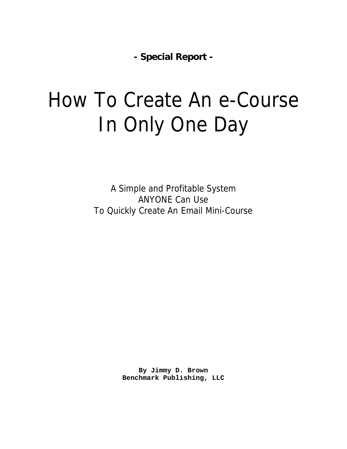**- Special Report -**

# How To Create An e-Course In Only One Day

A Simple and Profitable System ANYONE Can Use To Quickly Create An Email Mini-Course

> **By Jimmy D. Brown Benchmark Publishing, LLC**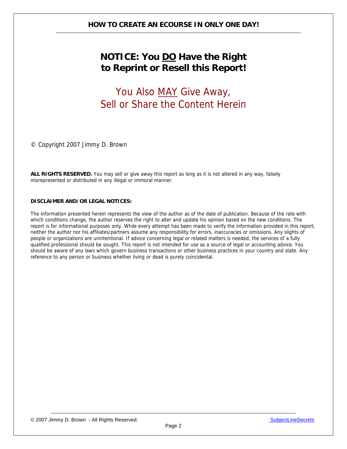# **NOTICE: You DO Have the Right to Reprint or Resell this Report!**

# You Also MAY Give Away, Sell or Share the Content Herein

© Copyright 2007 Jimmy D. Brown

**ALL RIGHTS RESERVED.** You may sell or give away this report as long as it is not altered in any way, falsely misrepresented or distributed in any illegal or immoral manner.

#### **DISCLAIMER AND/OR LEGAL NOTICES:**

The information presented herein represents the view of the author as of the date of publication. Because of the rate with which conditions change, the author reserves the right to alter and update his opinion based on the new conditions. The report is for informational purposes only. While every attempt has been made to verify the information provided in this report, neither the author nor his affiliates/partners assume any responsibility for errors, inaccuracies or omissions. Any slights of people or organizations are unintentional. If advice concerning legal or related matters is needed, the services of a fully qualified professional should be sought. This report is not intended for use as a source of legal or accounting advice. You should be aware of any laws which govern business transactions or other business practices in your country and state. Any reference to any person or business whether living or dead is purely coincidental.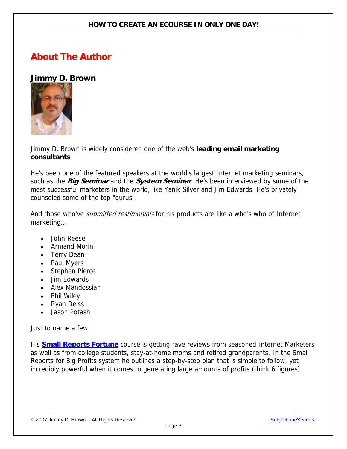# **About The Author**

# **Jimmy D. Brown**



Jimmy D. Brown is widely considered one of the web's **leading email marketing consultants**.

He's been one of the featured speakers at the world's largest Internet marketing seminars, such as the **Big Seminar** and the **System Seminar**. He's been interviewed by some of the most successful marketers in the world, like Yanik Silver and Jim Edwards. He's privately counseled some of the top "gurus".

And those who've *submitted testimonials* for his products are like a who's who of Internet marketing...

- John Reese
- Armand Morin
- Terry Dean
- Paul Myers
- Stephen Pierce
- Jim Edwards
- Alex Mandossian
- Phil Wiley
- Ryan Deiss
- Jason Potash

Just to name a few.

His **[Small Reports Fortune](http://www.infoprofitshare.com/go.php?offer=janu001&pid=5)** course is getting rave reviews from seasoned Internet Marketers as well as from college students, stay-at-home moms and retired grandparents. In the Small Reports for Big Profits system he outlines a step-by-step plan that is simple to follow, yet incredibly powerful when it comes to generating large amounts of profits (think 6 figures).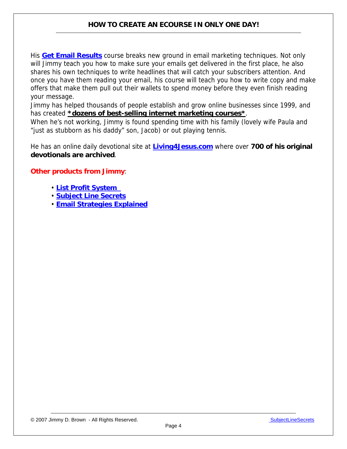His **[Get Email Results](http://www.infoprofitshare.com/go.php?offer=janu001&pid=3)** course breaks new ground in email marketing techniques. Not only will Jimmy teach you how to make sure your emails get delivered in the first place, he also shares his own techniques to write headlines that will catch your subscribers attention. And once you have them reading your email, his course will teach you how to write copy and make offers that make them pull out their wallets to spend money before they even finish reading your message.

Jimmy has helped thousands of people establish and grow online businesses since 1999, and has created **\*dozens of best-selling internet marketing courses\***.

When he's not working, Jimmy is found spending time with his family (lovely wife Paula and "just as stubborn as his daddy" son, Jacob) or out playing tennis.

He has an online daily devotional site at **[Living4Jesus.com](http://www.living4jesus.com/)** where over **700 of his original devotionals are archived**.

#### **Other products from Jimmy**:

- **[List Profit System](http://www.infoprofitshare.com/go.php?offer=janu001&pid=6)**
- **[Subject Line Secrets](http://www.infoprofitshare.com/go.php?offer=janu001&pid=2)**
- **[Email Strategies Explained](http://www.infoprofitshare.com/go.php?offer=janu001&pid=1)**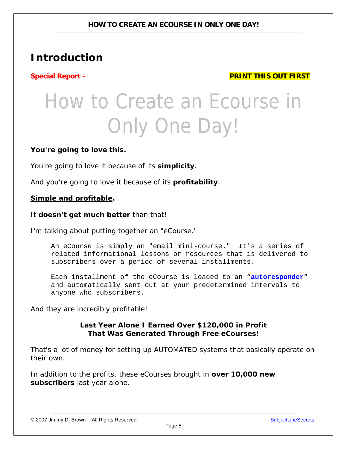# **Introduction**

**Special Report – PRINT THIS OUT FIRST** 

# How to Create an Ecourse in Only One Day!

## **You're going to love this.**

You're going to love it because of its **simplicity**.

And you're going to love it because of its **profitability**.

#### *Simple and profitable.*

#### It **doesn't get much better** than that!

I'm talking about putting together an "eCourse."

An eCourse is simply an "email mini-course." It's a series of related informational lessons or resources that is delivered to subscribers over a period of several installments.

Each installment of the eCourse is loaded to an "**[autoresponder](http://www.aweber.com/?320712)**" and automatically sent out at your predetermined intervals to anyone who subscribers.

And they are incredibly profitable!

### **Last Year Alone I Earned Over \$120,000 in Profit That Was Generated Through Free eCourses!**

That's a lot of money for setting up AUTOMATED systems that basically operate on their own.

In addition to the profits, these eCourses brought in **over 10,000 new subscribers** last year alone.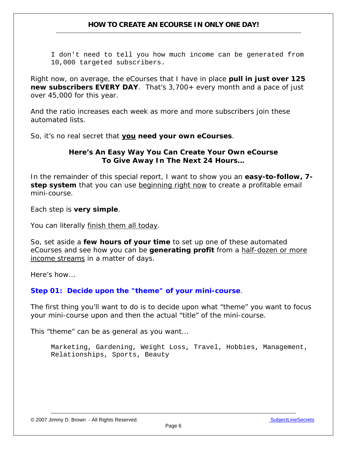I don't need to tell you how much income can be generated from 10,000 targeted subscribers.

Right now, on average, the eCourses that I have in place **pull in just over 125 new subscribers EVERY DAY**. That's 3,700+ every month and a pace of just over 45,000 for this year.

And the ratio increases each week as more and more subscribers join these automated lists.

So, it's no real secret that **you need your own eCourses**.

### **Here's An Easy Way You Can Create Your Own eCourse To Give Away In The Next 24 Hours…**

In the remainder of this special report, I want to show you an **easy-to-follow, 7 step system** that you can use beginning right now to create a profitable email mini-course.

Each step is **very simple**.

You can literally finish them all today.

So, set aside a **few hours of your time** to set up one of these automated eCourses and see how you can be **generating profit** from a half-dozen or more income streams in a matter of days.

Here's how...

#### **Step 01: Decide upon the "theme" of your mini-course**.

The first thing you'll want to do is to decide upon what "theme" you want to focus your mini-course upon and then the actual "title" of the mini-course.

This "theme" can be as general as you want...

Marketing, Gardening, Weight Loss, Travel, Hobbies, Management, Relationships, Sports, Beauty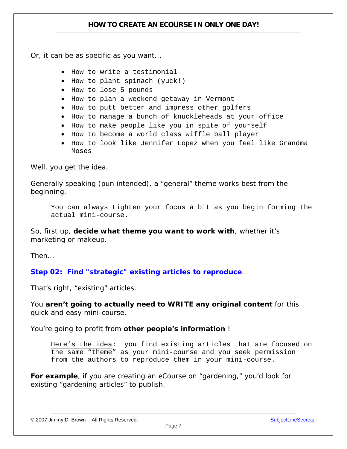Or, it can be as specific as you want...

- How to write a testimonial
- How to plant spinach (yuck!)
- How to lose 5 pounds
- How to plan a weekend getaway in Vermont
- How to putt better and impress other golfers
- How to manage a bunch of knuckleheads at your office
- How to make people like you in spite of yourself
- How to become a world class wiffle ball player
- How to look like Jennifer Lopez when you feel like Grandma Moses

Well, you get the idea.

Generally speaking (pun intended), a "general" theme works best from the beginning.

You can always tighten your focus a bit as you begin forming the actual mini-course.

So, first up, **decide what theme you want to work with**, whether it's marketing or makeup.

Then…

**Step 02: Find "strategic" existing articles to reproduce**.

That's right, "existing" articles.

You **aren't going to actually need to WRITE any original content** for this quick and easy mini-course.

You're going to profit from **other people's information** !

Here's the idea: you find existing articles that are focused on the same "theme" as your mini-course and you seek permission from the authors to reproduce them in your mini-course.

**For example**, if you are creating an eCourse on "gardening," you'd look for existing "gardening articles" to publish.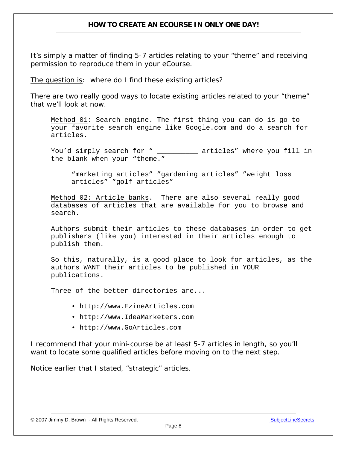It's simply a matter of finding 5-7 articles relating to your "theme" and receiving permission to reproduce them in your eCourse.

The question is: where do I find these existing articles?

There are two really good ways to locate existing articles related to your "theme" that we'll look at now.

Method 01: Search engine. The first thing you can do is go to your favorite search engine like Google.com and do a search for articles.

You'd simply search for " \_\_\_\_\_\_\_\_\_ articles" where you fill in the blank when your "theme."

"marketing articles" "gardening articles" "weight loss articles" "golf articles"

Method 02: Article banks. There are also several really good databases of articles that are available for you to browse and search.

Authors submit their articles to these databases in order to get publishers (like you) interested in their articles enough to publish them.

So this, naturally, is a good place to look for articles, as the authors WANT their articles to be published in YOUR publications.

Three of the better directories are...

- http://www.EzineArticles.com
- http://www.IdeaMarketers.com
- http://www.GoArticles.com

I recommend that your mini-course be at least 5-7 articles in length, so you'll want to locate some qualified articles before moving on to the next step.

Notice earlier that I stated, "strategic" articles.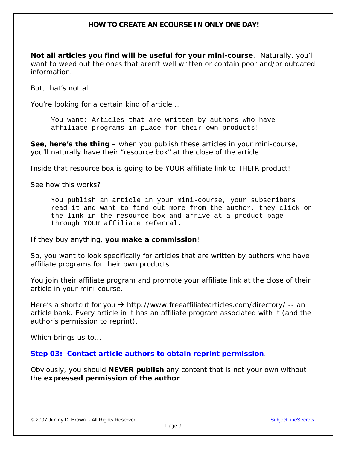**Not all articles you find will be useful for your mini-course**. Naturally, you'll want to weed out the ones that aren't well written or contain poor and/or outdated information.

But, that's not all.

You're looking for a certain kind of article...

You want: Articles that are written by authors who have affiliate programs in place for their own products!

**See, here's the thing** – when you publish these articles in your mini-course, you'll naturally have their "resource box" at the close of the article.

Inside that resource box is going to be YOUR affiliate link to THEIR product!

See how this works?

You publish an article in your mini-course, your subscribers read it and want to find out more from the author, they click on the link in the resource box and arrive at a product page through YOUR affiliate referral.

If they buy anything, **you make a commission**!

So, you want to look specifically for articles that are written by authors who have affiliate programs for their own products.

You join their affiliate program and promote your affiliate link at the close of their article in your mini-course.

Here's a shortcut for you  $\rightarrow$  http://www.freeaffiliatearticles.com/directory/ -- an article bank. Every article in it has an affiliate program associated with it (and the author's permission to reprint).

Which brings us to...

**Step 03: Contact article authors to obtain reprint permission**.

Obviously, you should **NEVER publish** any content that is not your own without the **expressed permission of the author**.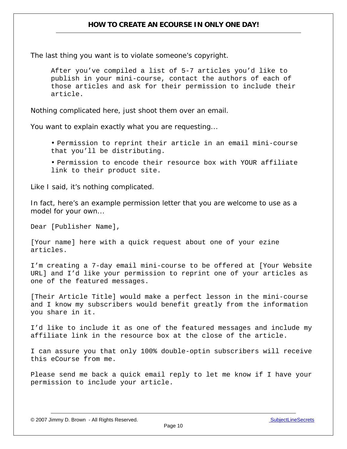The last thing you want is to violate someone's copyright.

After you've compiled a list of 5-7 articles you'd like to publish in your mini-course, contact the authors of each of those articles and ask for their permission to include their article.

Nothing complicated here, just shoot them over an email.

You want to explain exactly what you are requesting...

 • Permission to reprint their article in an email mini-course that you'll be distributing.

• Permission to encode their resource box with YOUR affiliate link to their product site.

Like I said, it's nothing complicated.

In fact, here's an example permission letter that you are welcome to use as a model for your own...

Dear [Publisher Name],

[Your name] here with a quick request about one of your ezine articles.

I'm creating a 7-day email mini-course to be offered at [Your Website URL] and I'd like your permission to reprint one of your articles as one of the featured messages.

[Their Article Title] would make a perfect lesson in the mini-course and I know my subscribers would benefit greatly from the information you share in it.

I'd like to include it as one of the featured messages and include my affiliate link in the resource box at the close of the article.

I can assure you that only 100% double-optin subscribers will receive this eCourse from me.

Please send me back a quick email reply to let me know if I have your permission to include your article.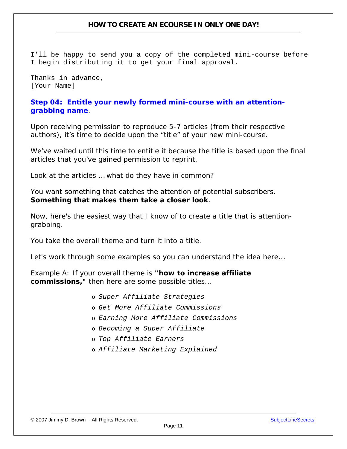I'll be happy to send you a copy of the completed mini-course before I begin distributing it to get your final approval.

Thanks in advance, [Your Name]

### **Step 04: Entitle your newly formed mini-course with an attentiongrabbing name**.

Upon receiving permission to reproduce 5-7 articles (from their respective authors), it's time to decide upon the "title" of your new mini-course.

We've waited until this time to entitle it because the title is based upon the final articles that you've gained permission to reprint.

Look at the articles … what do they have in common?

You want something that catches the attention of potential subscribers. **Something that makes them take a closer look**.

Now, here's the easiest way that I know of to create a title that is attentiongrabbing.

You take the overall theme and turn it into a title.

Let's work through some examples so you can understand the idea here...

*Example A*: *If your overall theme is "how to increase affiliate commissions," then here are some possible titles...* 

- o *Super Affiliate Strategies*
- o *Get More Affiliate Commissions*
- o *Earning More Affiliate Commissions*
- o *Becoming a Super Affiliate*
- o *Top Affiliate Earners*
- o *Affiliate Marketing Explained*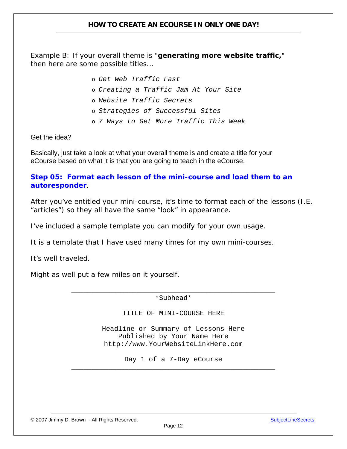*Example B: If your overall theme is "generating more website traffic," then here are some possible titles...*

- o *Get Web Traffic Fast*
- o *Creating a Traffic Jam At Your Site*
- o *Website Traffic Secrets*
- o *Strategies of Successful Sites*
- o *7 Ways to Get More Traffic This Week*

Get the idea?

Basically, just take a look at what your overall theme is and create a title for your eCourse based on what it is that you are going to teach in the eCourse.

## **Step 05: Format each lesson of the mini-course and load them to an autoresponder**.

After you've entitled your mini-course, it's time to format each of the lessons (I.E. "articles") so they all have the same "look" in appearance.

I've included a sample template you can modify for your own usage.

It is a template that I have used many times for my own mini-courses.

It's well traveled.

Might as well put a few miles on it yourself.

\_\_\_\_\_\_\_\_\_\_\_\_\_\_\_\_\_\_\_\_\_\_\_\_\_\_\_\_\_\_\_\_\_\_\_\_\_\_\_\_\_\_\_\_\_\_\_\_\_\_ \*Subhead\*

TITLE OF MINI-COURSE HERE

Headline or Summary of Lessons Here Published by Your Name Here http://www.YourWebsiteLinkHere.com

Day 1 of a 7-Day eCourse \_\_\_\_\_\_\_\_\_\_\_\_\_\_\_\_\_\_\_\_\_\_\_\_\_\_\_\_\_\_\_\_\_\_\_\_\_\_\_\_\_\_\_\_\_\_\_\_\_\_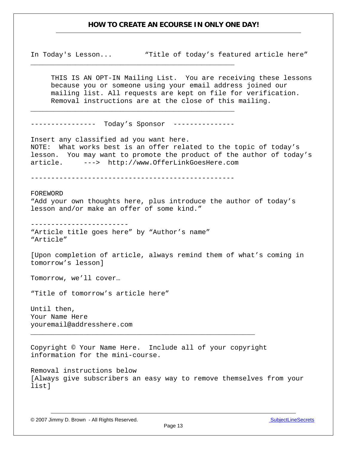In Today's Lesson... "Title of today's featured article here"

THIS IS AN OPT-IN Mailing List. You are receiving these lessons because you or someone using your email address joined our mailing list. All requests are kept on file for verification. Removal instructions are at the close of this mailing.

---------------- Today's Sponsor ---------------

\_\_\_\_\_\_\_\_\_\_\_\_\_\_\_\_\_\_\_\_\_\_\_\_\_\_\_\_\_\_\_\_\_\_\_\_\_\_\_\_\_\_\_\_\_\_\_\_\_\_

\_\_\_\_\_\_\_\_\_\_\_\_\_\_\_\_\_\_\_\_\_\_\_\_\_\_\_\_\_\_\_\_\_\_\_\_\_\_\_\_\_\_\_\_\_\_\_\_\_\_

Insert any classified ad you want here. NOTE: What works best is an offer related to the topic of today's lesson. You may want to promote the product of the author of today's article. ---> http://www.OfferLinkGoesHere.com

--------------------------------------------------

FOREWORD "Add your own thoughts here, plus introduce the author of today's lesson and/or make an offer of some kind."

------------------------

"Article title goes here" by "Author's name" "Article"

[Upon completion of article, always remind them of what's coming in tomorrow's lesson]

Tomorrow, we'll cover…

"Title of tomorrow's article here"

Until then, Your Name Here youremail@addresshere.com

Copyright © Your Name Here. Include all of your copyright information for the mini-course.

\_\_\_\_\_\_\_\_\_\_\_\_\_\_\_\_\_\_\_\_\_\_\_\_\_\_\_\_\_\_\_\_\_\_\_\_\_\_\_\_\_\_\_\_\_\_\_\_\_\_\_\_\_\_\_

Removal instructions below [Always give subscribers an easy way to remove themselves from your list]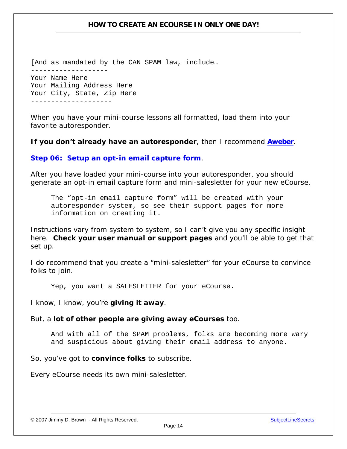[And as mandated by the CAN SPAM law, include… ------------------- Your Name Here Your Mailing Address Here Your City, State, Zip Here --------------------

When you have your mini-course lessons all formatted, load them into your favorite autoresponder.

**If you don't already have an autoresponder**, then I recommend **[Aweber](http://www.aweber.com/?320712)**.

**Step 06: Setup an opt-in email capture form**.

After you have loaded your mini-course into your autoresponder, you should generate an opt-in email capture form and mini-salesletter for your new eCourse.

The "opt-in email capture form" will be created with your autoresponder system, so see their support pages for more information on creating it.

Instructions vary from system to system, so I can't give you any specific insight here. **Check your user manual or support pages** and you'll be able to get that set up.

I do recommend that you create a "mini-salesletter" for your eCourse to convince folks to join.

Yep, you want a SALESLETTER for your eCourse.

I know, I know, you're **giving it away**.

But, a **lot of other people are giving away eCourses** too.

And with all of the SPAM problems, folks are becoming more wary and suspicious about giving their email address to anyone.

So, you've got to **convince folks** to subscribe.

Every eCourse needs its own mini-salesletter.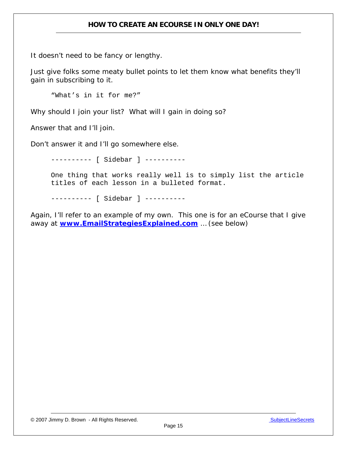It doesn't need to be fancy or lengthy.

Just give folks some meaty bullet points to let them know what benefits they'll gain in subscribing to it.

"What's in it for me?"

Why should I join your list? What will I gain in doing so?

Answer that and I'll join.

Don't answer it and I'll go somewhere else.

---------- [ Sidebar ] ---------- One thing that works really well is to simply list the article titles of each lesson in a bulleted format.

---------- [ Sidebar ] ----------

Again, I'll refer to an example of my own. This one is for an eCourse that I give away at **[www.EmailStrategiesExplained.com](http://www.infoprofitshare.com/go.php?offer=janu001&pid=1)** … (see below)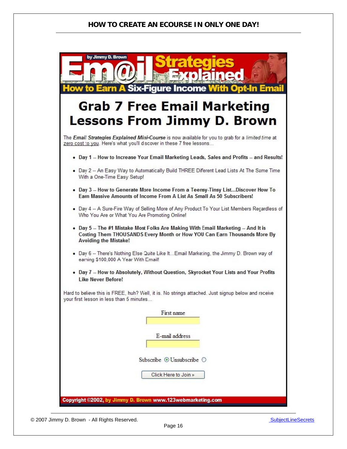| by Jimmy D. Brown<br>112120125<br><b>How to Earn A Six-Figure Income With Opt-In Email</b>                                                                                                    |
|-----------------------------------------------------------------------------------------------------------------------------------------------------------------------------------------------|
| <b>Grab 7 Free Email Marketing</b>                                                                                                                                                            |
| <b>Lessons From Jimmy D. Brown</b>                                                                                                                                                            |
| The <i>Email Strategies Explained Mini-Course</i> is now available for you to grab for a limited time at<br>zero cost to you. Here's what you'll d scover in these 7 free lessons             |
| . Day 1 -- How to Increase Your Email Marketing Leads, Sales and Profits -- and Results!                                                                                                      |
| . Day 2 -- An Easy Way to Automatically Build THREE Diferent Lead Lists At The Same Time<br>With a One-Time Easy Setup!                                                                       |
| . Day 3  How to Generate More Income From a Teensy-Tinsy ListDiscover How To<br>Earn Massive Amounts of Income From A List As Small As 50 Subscribers!                                        |
| . Day 4 -- A Sure-Fire Way of Selling More of Any Product To Your List Members Regardless of<br>Who You Are or What You Are Promoting Online!                                                 |
| • Day 5 -- The #1 Mistake Most Folks Are Making With Email Marketing -- And It is<br>Costing Them THOUSANDS Every Month or How YOU Can Earn Thousands More By<br><b>Avoiding the Mistake!</b> |
| . Day 6 -- There's Nothing Else Quite Like It Email Marketing, the Jimmy D. Brown way of<br>earning \$100,000 A Year With Email!                                                              |
| . Day 7 -- How to Absolutely, Without Question, Skyrocket Your Lists and Your Profits<br><b>Like Never Before!</b>                                                                            |
| Hard to believe this is FREE, huh? Well, it is. No strings attached. Just signup below and receive<br>your first lesson in less than 5 minutes                                                |
| First name                                                                                                                                                                                    |
| E-mail address                                                                                                                                                                                |
| Subscribe © Unsubscribe ○                                                                                                                                                                     |
| Click Here to Join »                                                                                                                                                                          |
| Copyright @2002, by Jimmy D. Brown www.123webmarketing.com                                                                                                                                    |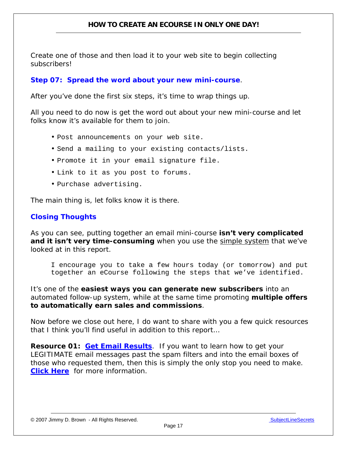Create one of those and then load it to your web site to begin collecting subscribers!

## **Step 07: Spread the word about your new mini-course**.

After you've done the first six steps, it's time to wrap things up.

All you need to do now is get the word out about your new mini-course and let folks know it's available for them to join.

- Post announcements on your web site.
- Send a mailing to your existing contacts/lists.
- Promote it in your email signature file.
- Link to it as you post to forums.
- Purchase advertising.

The main thing is, let folks know it is there.

## **Closing Thoughts**

As you can see, putting together an email mini-course **isn't very complicated and it isn't very time-consuming** when you use the simple system that we've looked at in this report.

I encourage you to take a few hours today (or tomorrow) and put together an eCourse following the steps that we've identified.

It's one of the **easiest ways you can generate new subscribers** into an automated follow-up system, while at the same time promoting **multiple offers to automatically earn sales and commissions**.

Now before we close out here, I do want to share with you a few quick resources that I think you'll find useful in addition to this report…

**Resource 01: [Get Email Results](http://www.infoprofitshare.com/go.php?offer=janu001&pid=3)**. If you want to learn how to get your LEGITIMATE email messages past the spam filters and into the email boxes of those who requested them, then this is simply the only stop you need to make. **[Click Here](http://www.infoprofitshare.com/go.php?offer=janu001&pid=3)** for more information.